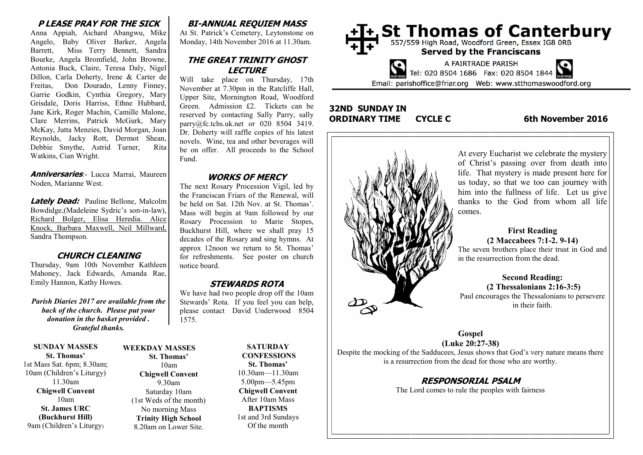#### **P LEASE PRAY FOR THE SICK**

Anna Appiah, Aichard Abangwu, Mike Angelo, Baby Oliver Barker, Angela Barrett, Miss Terry Bennett, Sandra Bourke, Angela Bromfield, John Browne, Antonia Buck, Claire, Teresa Daly, Nigel Dillon, Carla Doherty, Irene & Carter de Freitas, Don Dourado, Lenny Finney, Garrie Godkin, Cynthia Gregory, Mary Grisdale, Doris Harriss, Ethne Hubbard, Jane Kirk, Roger Machin, Camille Malone, Clare Merrins, Patrick McGurk, Mary McKay, Jutta Menzies, David Morgan, Joan Reynolds, Jacky Rott, Dermot Shean, Debbie Smythe, Astrid Turner, Rita Watkins, Cian Wright.

**Anniversaries**:- Lucca Marrai, Maureen Noden, Marianne West.

**Lately Dead:** Pauline Bellone, Malcolm Bowdidge,(Madeleine Sydric's son-in-law), Richard Bolger, Elisa Heredia. Alice Knock, Barbara Maxwell, Neil Millward, Sandra Thompson.

#### **CHURCH CLEANING**

Thursday, 9am 10th November Kathleen Mahoney, Jack Edwards, Amanda Rae, Emily Hannon, Kathy Howes.

*Parish Diaries 2017 are available from the back of the church. Please put your donation in the basket provided . Grateful thanks.* 

**SUNDAY MASSES St. Thomas'** 1st Mass Sat. 6pm; 8.30am; 10am (Children's Liturgy) 11.30am **Chigwell Convent** 10am **St. James URC (Buckhurst Hill)** 9am (Children's Liturgy)

#### **WEEKDAY MASSES St. Thomas'** 10am **Chigwell Convent** 9.30am Saturday 10am (1st Weds of the month) No morning Mass **Trinity High School** 8.20am on Lower Site.

**SATURDAY CONFESSIONS St. Thomas'** 10.30am—11.30am 5.00pm—5.45pm **Chigwell Convent** After 10am Mass **BAPTISMS** 1st and 3rd Sundays Of the month

# **BI-ANNUAL REQUIEM MASS**

At St. Patrick's Cemetery, Leytonstone on Monday, 14th November 2016 at 11.30am.

#### **THE GREAT TRINITY GHOST LECTURE**

Will take place on Thursday, 17th November at 7.30pm in the Ratcliffe Hall, Upper Site, Mornington Road, Woodford Green. Admission £2. Tickets can be reserved by contacting Sally Parry, sally parry@fc.tchs.uk.net or 020 8504 3419. Dr. Doherty will raffle copies of his latest novels. Wine, tea and other beverages will be on offer. All proceeds to the School Fund.

#### **WORKS OF MERCY**

The next Rosary Procession Vigil, led by the Franciscan Friars of the Renewal, will be held on Sat. 12th Nov. at St. Thomas'. Mass will begin at 9am followed by our Rosary Procession to Marie Stopes, Buckhurst Hill, where we shall pray 15 decades of the Rosary and sing hymns. At approx 12noon we return to St. Thomas' for refreshments. See poster on church notice board.

#### **STEWARDS ROTA**

We have had two people drop off the 10am Stewards' Rota. If you feel you can help, please contact David Underwood 8504 1575.



### **32ND SUNDAY IN ORDINARY TIME CYCLE C 6th November 2016**



At every Eucharist we celebrate the mystery of Christ's passing over from death into life. That mystery is made present here for us today, so that we too can journey with him into the fullness of life. Let us give thanks to the God from whom all life

# **First Reading (2 Maccabees 7:1-2. 9-14)**

The seven brothers place their trust in God and in the resurrection from the dead.

**Second Reading: (2 Thessalonians 2:16-3:5)** Paul encourages the Thessalonians to persevere in their faith.

**Gospel (Luke 20:27-38)** Despite the mocking of the Sadducees, Jesus shows that God's very nature means there is a resurrection from the dead for those who are worthy.

# **RESPONSORIAL PSALM**

The Lord comes to rule the peoples with fairness